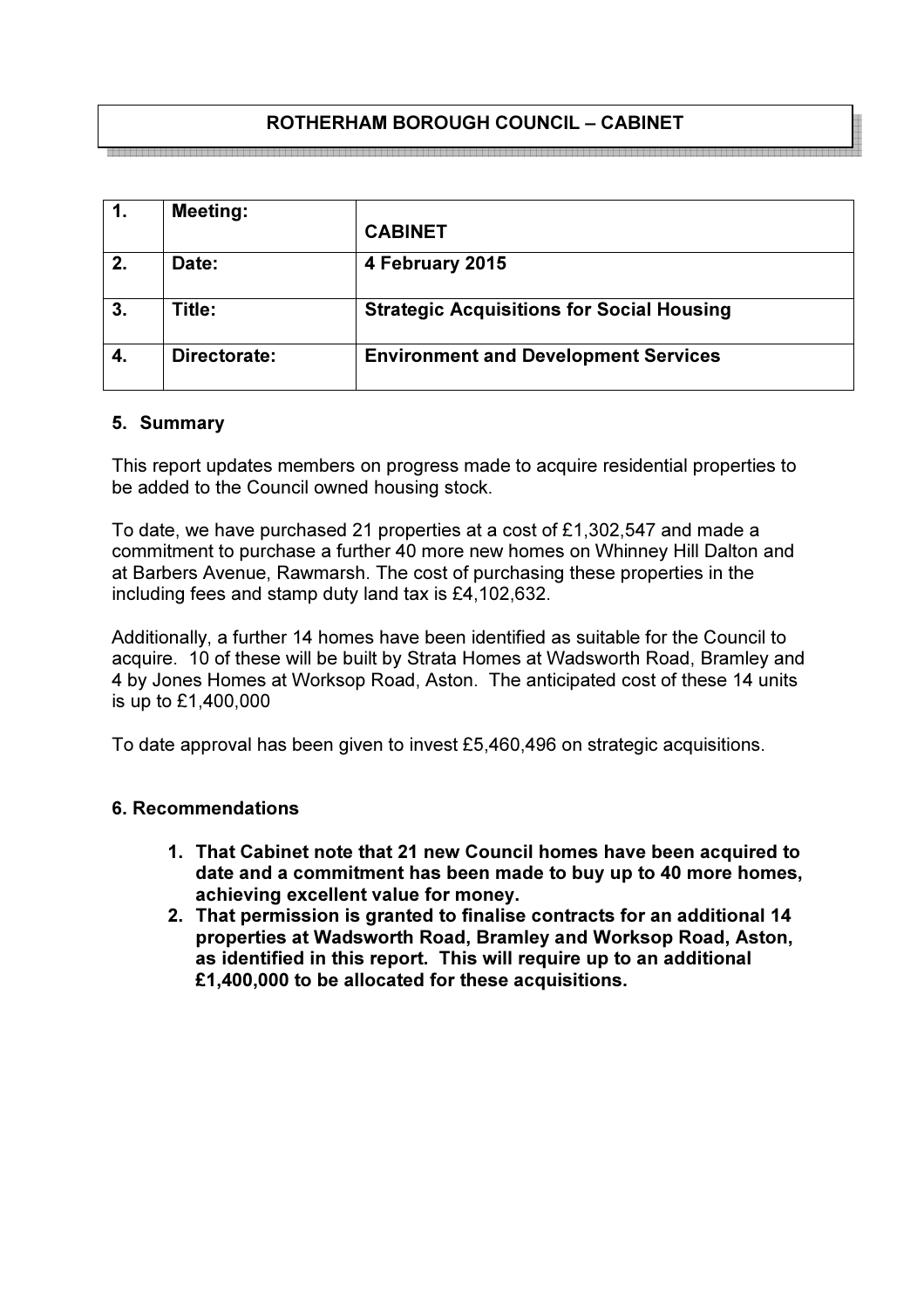## ROTHERHAM BOROUGH COUNCIL – CABINET

| 1. | <b>Meeting:</b> |                                                  |
|----|-----------------|--------------------------------------------------|
|    |                 | <b>CABINET</b>                                   |
| 2. | Date:           | 4 February 2015                                  |
| 3. | Title:          | <b>Strategic Acquisitions for Social Housing</b> |
| 4. | Directorate:    | <b>Environment and Development Services</b>      |

#### 5. Summary

This report updates members on progress made to acquire residential properties to be added to the Council owned housing stock.

To date, we have purchased 21 properties at a cost of £1,302,547 and made a commitment to purchase a further 40 more new homes on Whinney Hill Dalton and at Barbers Avenue, Rawmarsh. The cost of purchasing these properties in the including fees and stamp duty land tax is £4,102,632.

Additionally, a further 14 homes have been identified as suitable for the Council to acquire. 10 of these will be built by Strata Homes at Wadsworth Road, Bramley and 4 by Jones Homes at Worksop Road, Aston. The anticipated cost of these 14 units is up to £1,400,000

To date approval has been given to invest £5,460,496 on strategic acquisitions.

#### 6. Recommendations

- 1. That Cabinet note that 21 new Council homes have been acquired to date and a commitment has been made to buy up to 40 more homes, achieving excellent value for money.
- 2. That permission is granted to finalise contracts for an additional 14 properties at Wadsworth Road, Bramley and Worksop Road, Aston, as identified in this report. This will require up to an additional £1,400,000 to be allocated for these acquisitions.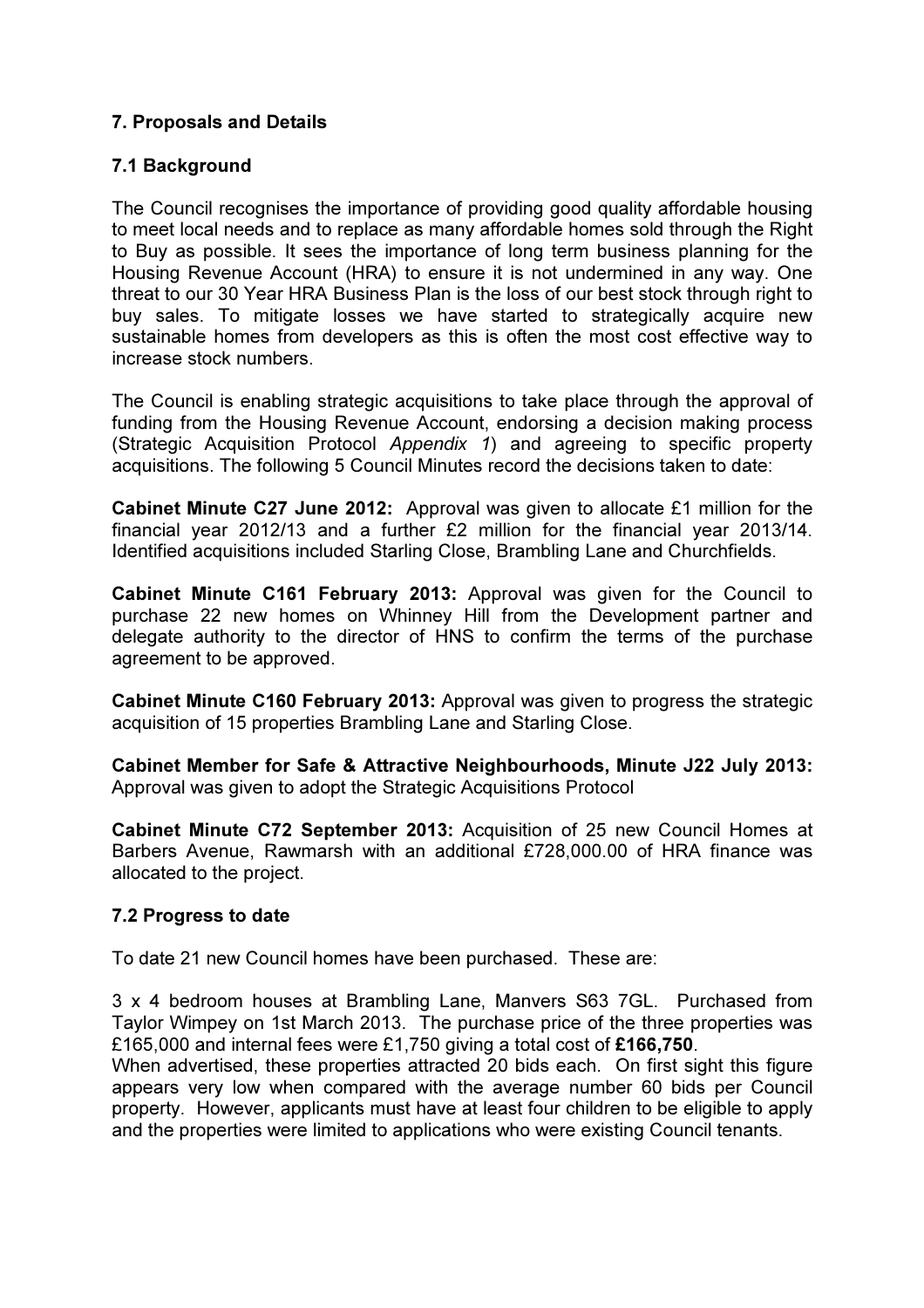## 7. Proposals and Details

#### 7.1 Background

The Council recognises the importance of providing good quality affordable housing to meet local needs and to replace as many affordable homes sold through the Right to Buy as possible. It sees the importance of long term business planning for the Housing Revenue Account (HRA) to ensure it is not undermined in any way. One threat to our 30 Year HRA Business Plan is the loss of our best stock through right to buy sales. To mitigate losses we have started to strategically acquire new sustainable homes from developers as this is often the most cost effective way to increase stock numbers.

The Council is enabling strategic acquisitions to take place through the approval of funding from the Housing Revenue Account, endorsing a decision making process (Strategic Acquisition Protocol Appendix 1) and agreeing to specific property acquisitions. The following 5 Council Minutes record the decisions taken to date:

Cabinet Minute C27 June 2012: Approval was given to allocate £1 million for the financial year 2012/13 and a further £2 million for the financial year 2013/14. Identified acquisitions included Starling Close, Brambling Lane and Churchfields.

Cabinet Minute C161 February 2013: Approval was given for the Council to purchase 22 new homes on Whinney Hill from the Development partner and delegate authority to the director of HNS to confirm the terms of the purchase agreement to be approved.

Cabinet Minute C160 February 2013: Approval was given to progress the strategic acquisition of 15 properties Brambling Lane and Starling Close.

Cabinet Member for Safe & Attractive Neighbourhoods, Minute J22 July 2013: Approval was given to adopt the Strategic Acquisitions Protocol

Cabinet Minute C72 September 2013: Acquisition of 25 new Council Homes at Barbers Avenue, Rawmarsh with an additional £728,000.00 of HRA finance was allocated to the project.

#### 7.2 Progress to date

To date 21 new Council homes have been purchased. These are:

3 x 4 bedroom houses at Brambling Lane, Manvers S63 7GL. Purchased from Taylor Wimpey on 1st March 2013. The purchase price of the three properties was £165,000 and internal fees were £1,750 giving a total cost of £166,750.

When advertised, these properties attracted 20 bids each. On first sight this figure appears very low when compared with the average number 60 bids per Council property. However, applicants must have at least four children to be eligible to apply and the properties were limited to applications who were existing Council tenants.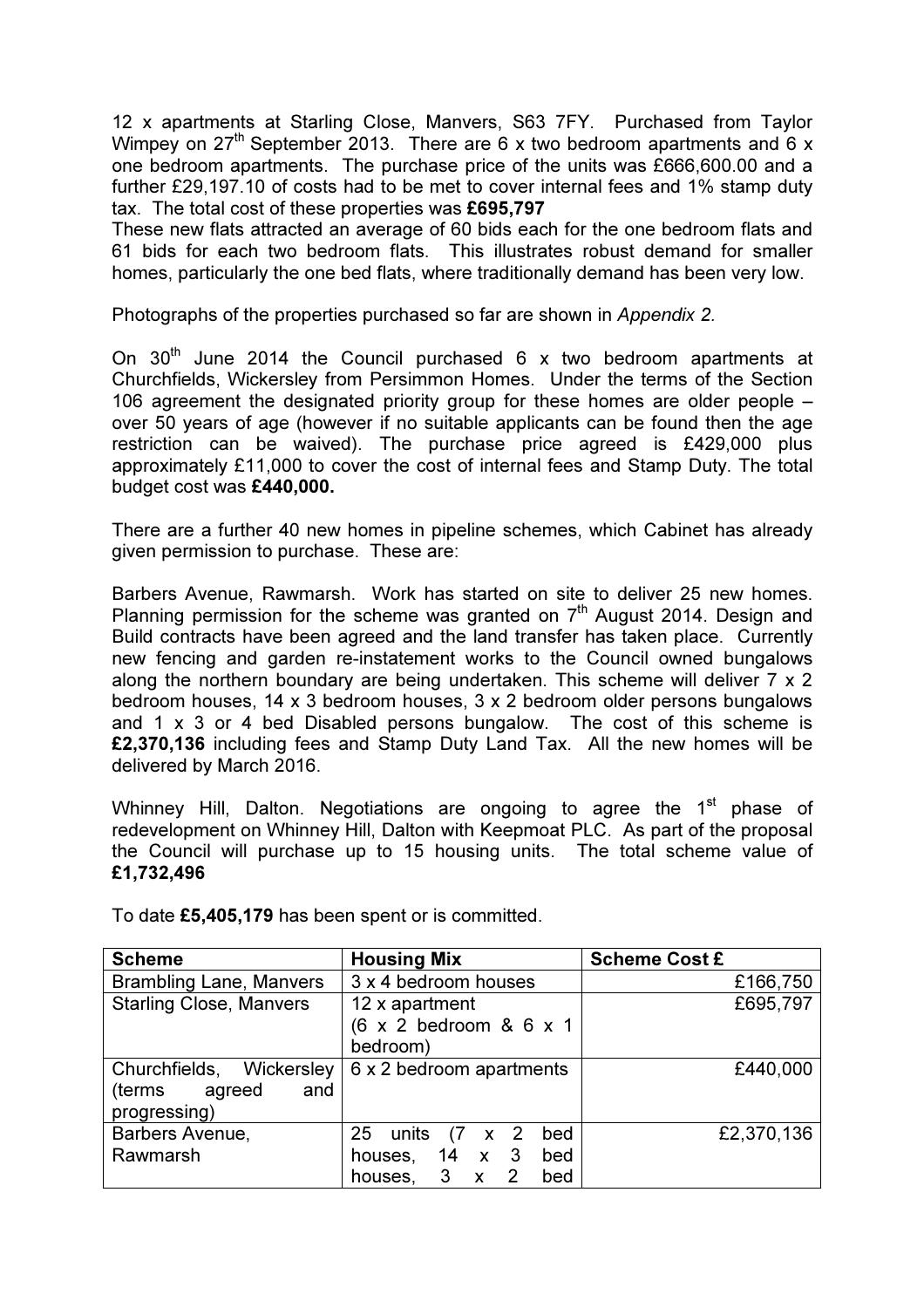12 x apartments at Starling Close, Manvers, S63 7FY. Purchased from Taylor Wimpey on  $27<sup>th</sup>$  September 2013. There are 6 x two bedroom apartments and 6 x one bedroom apartments. The purchase price of the units was £666,600.00 and a further £29,197.10 of costs had to be met to cover internal fees and 1% stamp duty tax. The total cost of these properties was £695,797

These new flats attracted an average of 60 bids each for the one bedroom flats and 61 bids for each two bedroom flats. This illustrates robust demand for smaller homes, particularly the one bed flats, where traditionally demand has been very low.

Photographs of the properties purchased so far are shown in Appendix 2.

On  $30<sup>th</sup>$  June 2014 the Council purchased 6 x two bedroom apartments at Churchfields, Wickersley from Persimmon Homes. Under the terms of the Section 106 agreement the designated priority group for these homes are older people – over 50 years of age (however if no suitable applicants can be found then the age restriction can be waived). The purchase price agreed is £429,000 plus approximately £11,000 to cover the cost of internal fees and Stamp Duty. The total budget cost was £440,000.

There are a further 40 new homes in pipeline schemes, which Cabinet has already given permission to purchase. These are:

Barbers Avenue, Rawmarsh. Work has started on site to deliver 25 new homes. Planning permission for the scheme was granted on  $7<sup>th</sup>$  August 2014. Design and Build contracts have been agreed and the land transfer has taken place. Currently new fencing and garden re-instatement works to the Council owned bungalows along the northern boundary are being undertaken. This scheme will deliver 7 x 2 bedroom houses, 14 x 3 bedroom houses, 3 x 2 bedroom older persons bungalows and 1 x 3 or 4 bed Disabled persons bungalow. The cost of this scheme is £2,370,136 including fees and Stamp Duty Land Tax. All the new homes will be delivered by March 2016.

Whinney Hill, Dalton. Negotiations are ongoing to agree the  $1<sup>st</sup>$  phase of redevelopment on Whinney Hill, Dalton with Keepmoat PLC. As part of the proposal the Council will purchase up to 15 housing units. The total scheme value of £1,732,496

| <b>Scheme</b>                                                       | <b>Housing Mix</b>                                                                             | <b>Scheme Cost £</b> |
|---------------------------------------------------------------------|------------------------------------------------------------------------------------------------|----------------------|
| <b>Brambling Lane, Manvers</b>                                      | 3 x 4 bedroom houses                                                                           | £166,750             |
| <b>Starling Close, Manvers</b>                                      | 12 x apartment<br>(6 x 2 bedroom & 6 x 1<br>bedroom)                                           | £695,797             |
| Churchfields, Wickersley<br>(terms<br>agreed<br>and<br>progressing) | 6 x 2 bedroom apartments                                                                       | £440,000             |
| Barbers Avenue,<br>Rawmarsh                                         | 25<br>units<br>$(7 \times 2)$<br>bed<br>houses, 14 x 3<br>bed<br>3<br>2<br>bed<br>houses,<br>X | £2,370,136           |

To date £5,405,179 has been spent or is committed.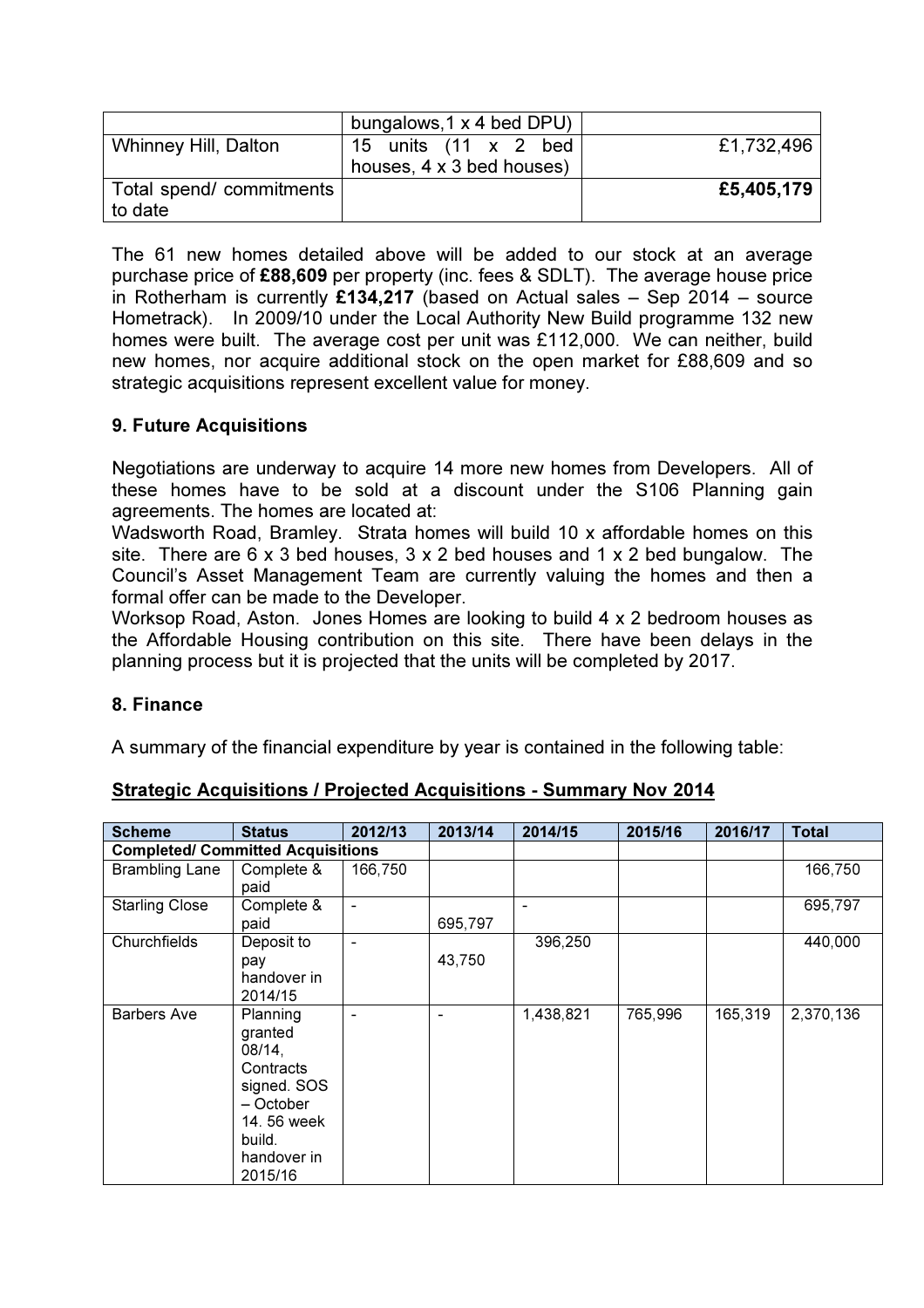|                                     | bungalows, 1 x 4 bed DPU)                         |            |
|-------------------------------------|---------------------------------------------------|------------|
| <b>Whinney Hill, Dalton</b>         | 15 units (11 x 2 bed<br>houses, 4 x 3 bed houses) | £1,732,496 |
| Total spend/ commitments<br>to date |                                                   | £5,405,179 |

The 61 new homes detailed above will be added to our stock at an average purchase price of £88,609 per property (inc. fees & SDLT). The average house price in Rotherham is currently £134,217 (based on Actual sales  $-$  Sep 2014 – source Hometrack). In 2009/10 under the Local Authority New Build programme 132 new homes were built. The average cost per unit was £112,000. We can neither, build new homes, nor acquire additional stock on the open market for £88,609 and so strategic acquisitions represent excellent value for money.

## 9. Future Acquisitions

Negotiations are underway to acquire 14 more new homes from Developers. All of these homes have to be sold at a discount under the S106 Planning gain agreements. The homes are located at:

Wadsworth Road, Bramley. Strata homes will build 10 x affordable homes on this site. There are 6 x 3 bed houses, 3 x 2 bed houses and 1 x 2 bed bungalow. The Council's Asset Management Team are currently valuing the homes and then a formal offer can be made to the Developer.

Worksop Road, Aston. Jones Homes are looking to build 4 x 2 bedroom houses as the Affordable Housing contribution on this site. There have been delays in the planning process but it is projected that the units will be completed by 2017.

#### 8. Finance

A summary of the financial expenditure by year is contained in the following table:

| <b>Scheme</b>                            | <b>Status</b>                                                                                                             | 2012/13                  | 2013/14         | 2014/15                  | 2015/16 | 2016/17 | <b>Total</b> |
|------------------------------------------|---------------------------------------------------------------------------------------------------------------------------|--------------------------|-----------------|--------------------------|---------|---------|--------------|
| <b>Completed/ Committed Acquisitions</b> |                                                                                                                           |                          |                 |                          |         |         |              |
| <b>Brambling Lane</b>                    | Complete &<br>paid                                                                                                        | 166,750                  |                 |                          |         |         | 166,750      |
| <b>Starling Close</b>                    | Complete &<br>paid                                                                                                        | $\overline{\phantom{0}}$ | 695,797         | $\overline{\phantom{a}}$ |         |         | 695,797      |
| Churchfields                             | Deposit to<br>pay<br>handover in<br>2014/15                                                                               |                          | 43,750          | 396,250                  |         |         | 440,000      |
| <b>Barbers Ave</b>                       | Planning<br>granted<br>08/14,<br>Contracts<br>signed. SOS<br>- October<br>14, 56 week<br>build.<br>handover in<br>2015/16 |                          | $\qquad \qquad$ | 1,438,821                | 765,996 | 165,319 | 2,370,136    |

## Strategic Acquisitions / Projected Acquisitions - Summary Nov 2014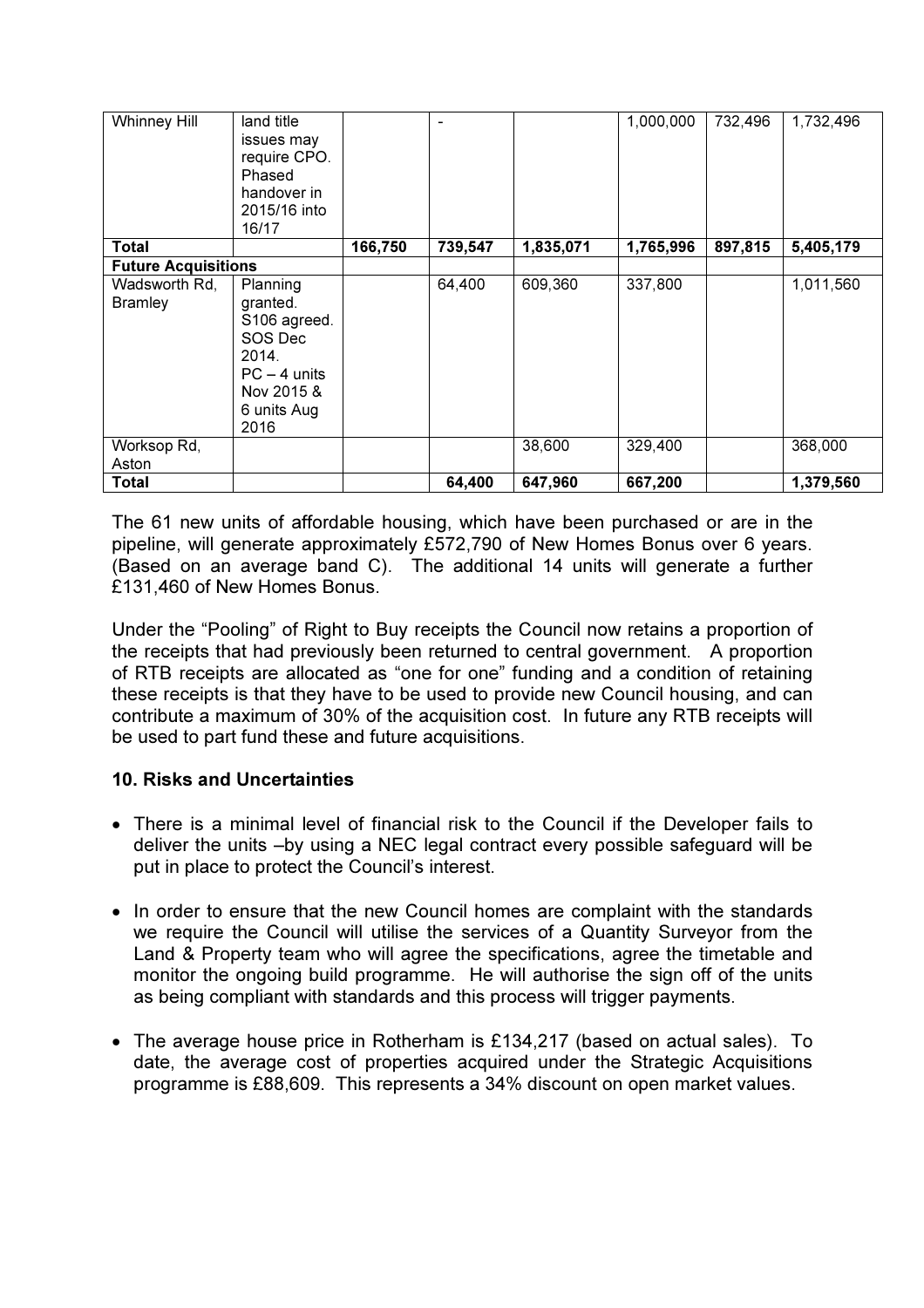| <b>Whinney Hill</b>             | land title<br>issues may<br>require CPO.<br>Phased<br>handover in<br>2015/16 into<br>16/17                      |         | $\blacksquare$ |           | 1,000,000 | 732,496 | 1,732,496 |
|---------------------------------|-----------------------------------------------------------------------------------------------------------------|---------|----------------|-----------|-----------|---------|-----------|
| Total                           |                                                                                                                 | 166,750 | 739,547        | 1,835,071 | 1,765,996 | 897,815 | 5,405,179 |
| <b>Future Acquisitions</b>      |                                                                                                                 |         |                |           |           |         |           |
| Wadsworth Rd,<br><b>Bramley</b> | Planning<br>granted.<br>S106 agreed.<br>SOS Dec<br>2014.<br>$PC - 4$ units<br>Nov 2015 &<br>6 units Aug<br>2016 |         | 64,400         | 609,360   | 337,800   |         | 1,011,560 |
| Worksop Rd,<br>Aston            |                                                                                                                 |         |                | 38,600    | 329,400   |         | 368,000   |
| <b>Total</b>                    |                                                                                                                 |         | 64,400         | 647,960   | 667,200   |         | 1,379,560 |

The 61 new units of affordable housing, which have been purchased or are in the pipeline, will generate approximately £572,790 of New Homes Bonus over 6 years. (Based on an average band C). The additional 14 units will generate a further £131,460 of New Homes Bonus.

Under the "Pooling" of Right to Buy receipts the Council now retains a proportion of the receipts that had previously been returned to central government. A proportion of RTB receipts are allocated as "one for one" funding and a condition of retaining these receipts is that they have to be used to provide new Council housing, and can contribute a maximum of 30% of the acquisition cost. In future any RTB receipts will be used to part fund these and future acquisitions.

## 10. Risks and Uncertainties

- There is a minimal level of financial risk to the Council if the Developer fails to deliver the units –by using a NEC legal contract every possible safeguard will be put in place to protect the Council's interest.
- In order to ensure that the new Council homes are complaint with the standards we require the Council will utilise the services of a Quantity Surveyor from the Land & Property team who will agree the specifications, agree the timetable and monitor the ongoing build programme. He will authorise the sign off of the units as being compliant with standards and this process will trigger payments.
- The average house price in Rotherham is £134,217 (based on actual sales). To date, the average cost of properties acquired under the Strategic Acquisitions programme is £88,609. This represents a 34% discount on open market values.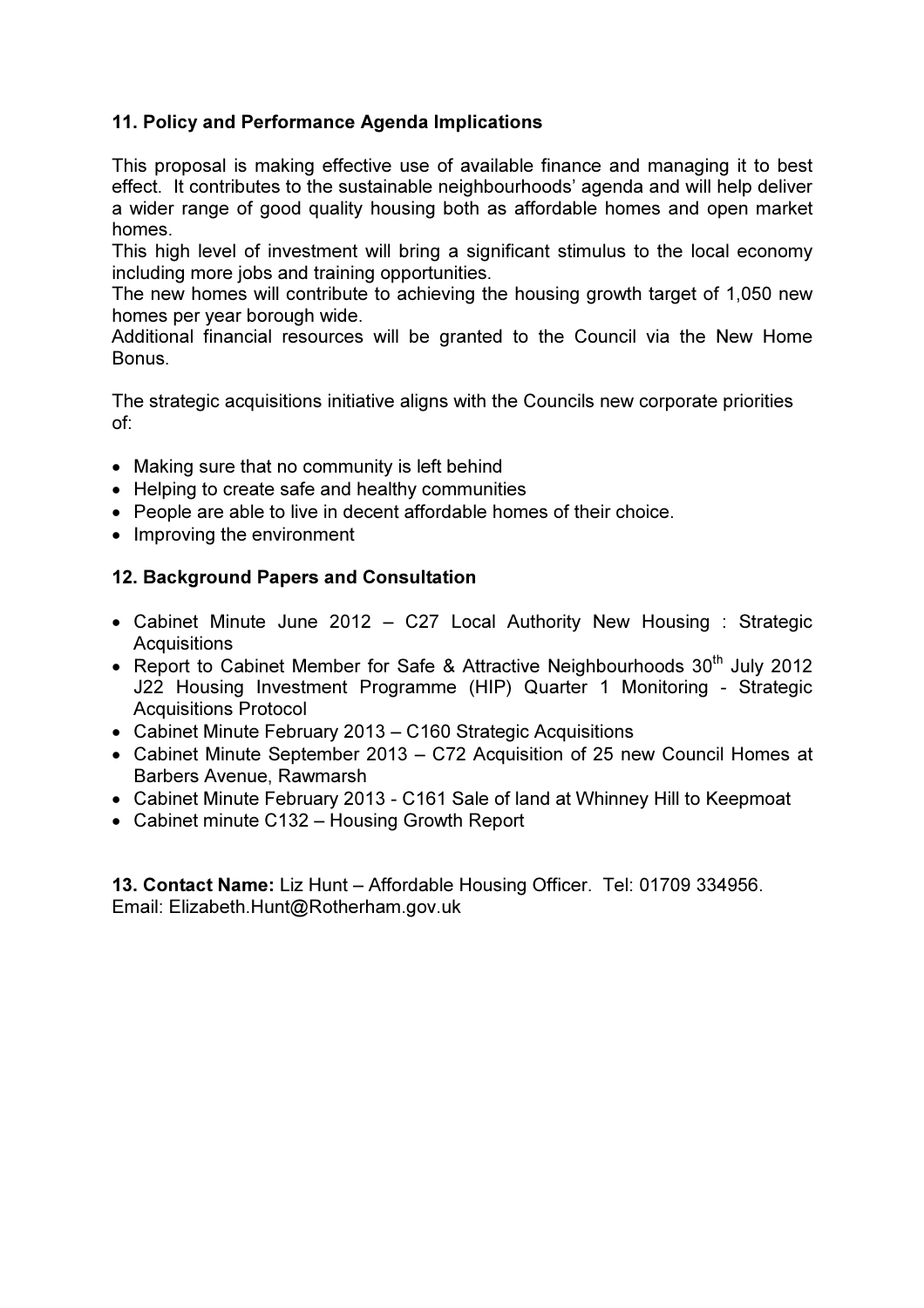# 11. Policy and Performance Agenda Implications

This proposal is making effective use of available finance and managing it to best effect. It contributes to the sustainable neighbourhoods' agenda and will help deliver a wider range of good quality housing both as affordable homes and open market homes.

This high level of investment will bring a significant stimulus to the local economy including more jobs and training opportunities.

The new homes will contribute to achieving the housing growth target of 1,050 new homes per year borough wide.

Additional financial resources will be granted to the Council via the New Home Bonus.

The strategic acquisitions initiative aligns with the Councils new corporate priorities of:

- Making sure that no community is left behind
- Helping to create safe and healthy communities
- People are able to live in decent affordable homes of their choice.
- Improving the environment

### 12. Background Papers and Consultation

- Cabinet Minute June 2012 C27 Local Authority New Housing : Strategic **Acquisitions**
- Report to Cabinet Member for Safe & Attractive Neighbourhoods  $30<sup>th</sup>$  July 2012 J22 Housing Investment Programme (HIP) Quarter 1 Monitoring - Strategic Acquisitions Protocol
- Cabinet Minute February 2013 C160 Strategic Acquisitions
- Cabinet Minute September 2013 C72 Acquisition of 25 new Council Homes at Barbers Avenue, Rawmarsh
- Cabinet Minute February 2013 C161 Sale of land at Whinney Hill to Keepmoat
- Cabinet minute C132 Housing Growth Report

13. Contact Name: Liz Hunt – Affordable Housing Officer. Tel: 01709 334956. Email: Elizabeth.Hunt@Rotherham.gov.uk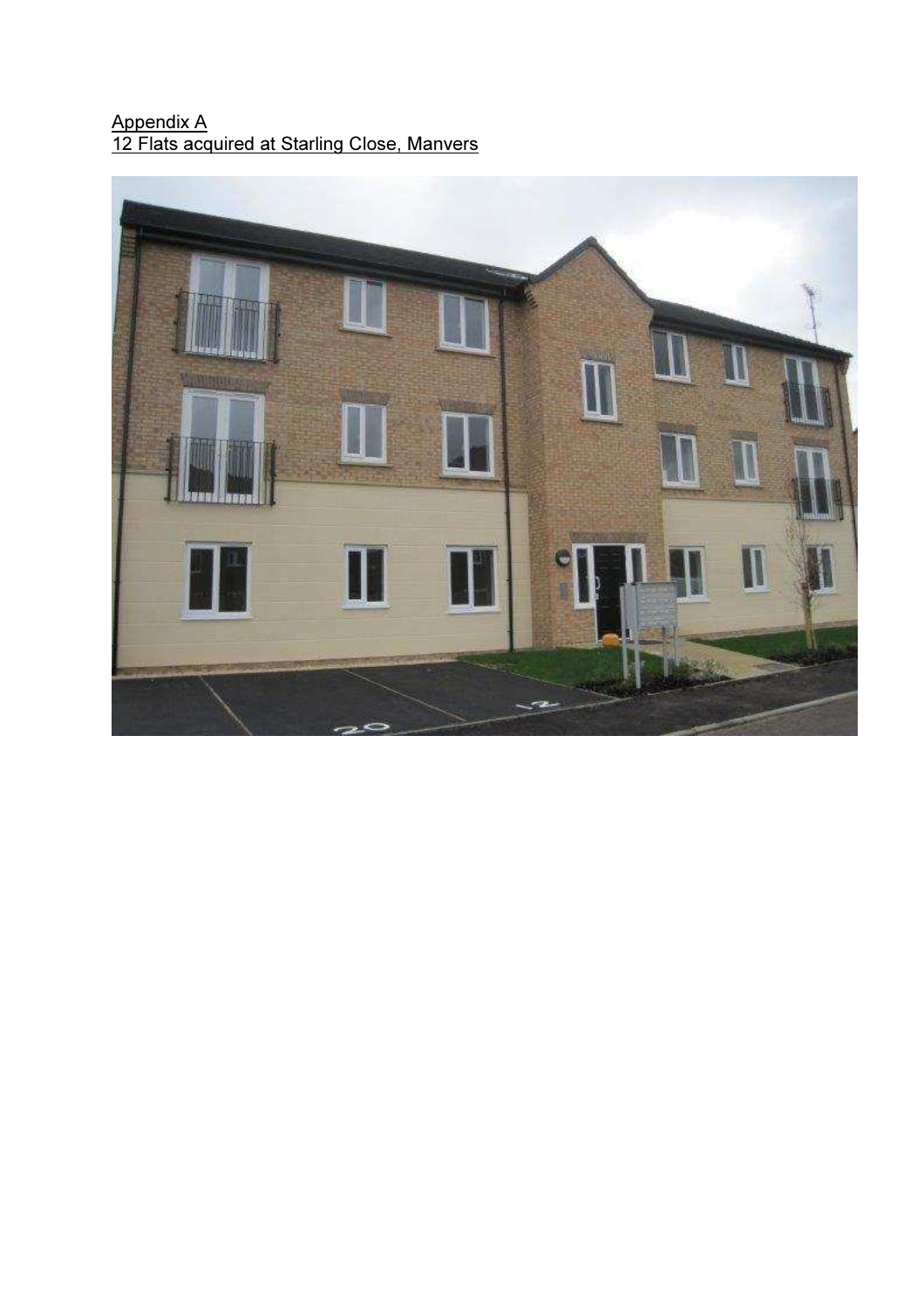### Appendix A 12 Flats acquired at Starling Close, Manvers

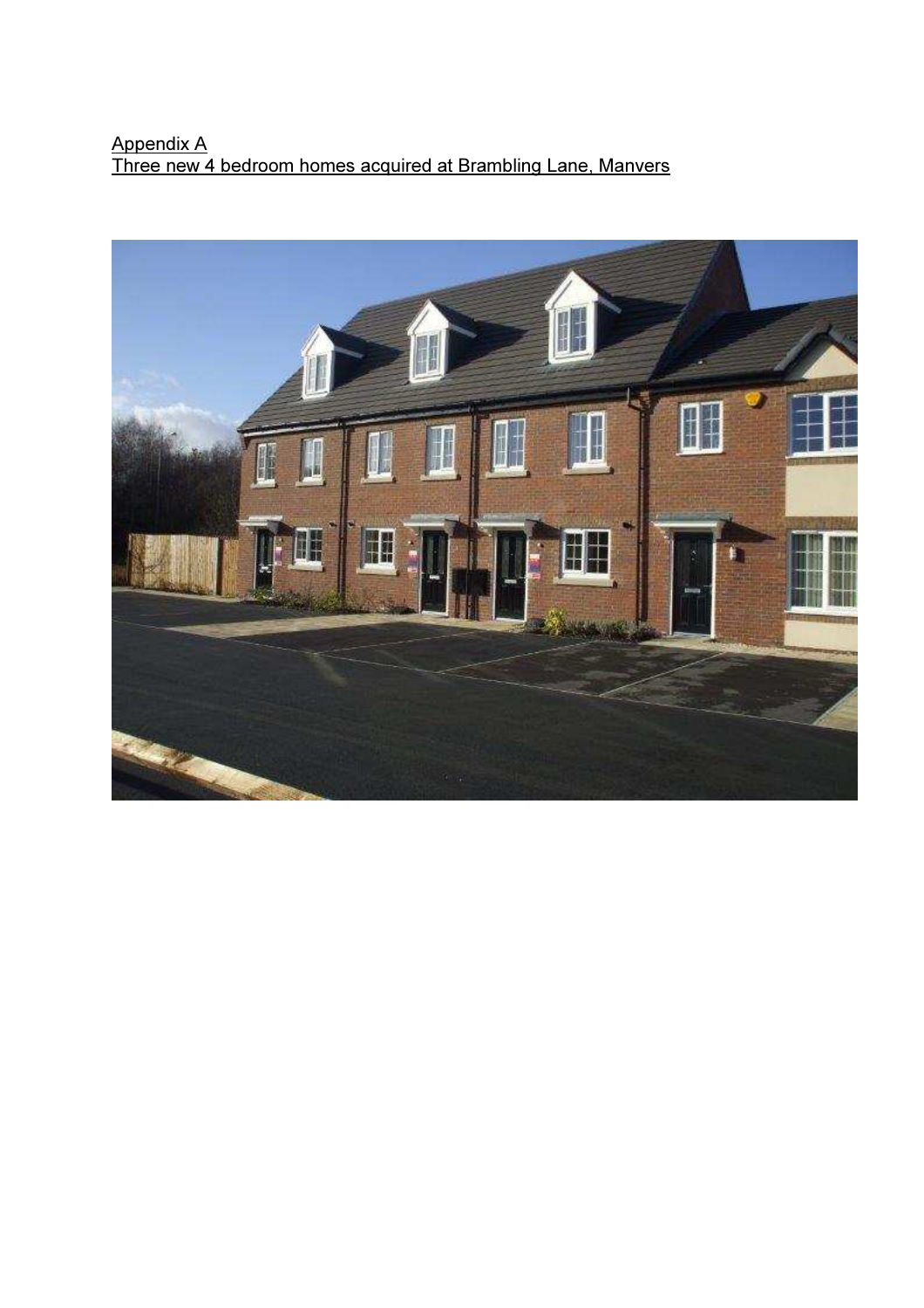# Appendix A Three new 4 bedroom homes acquired at Brambling Lane, Manvers